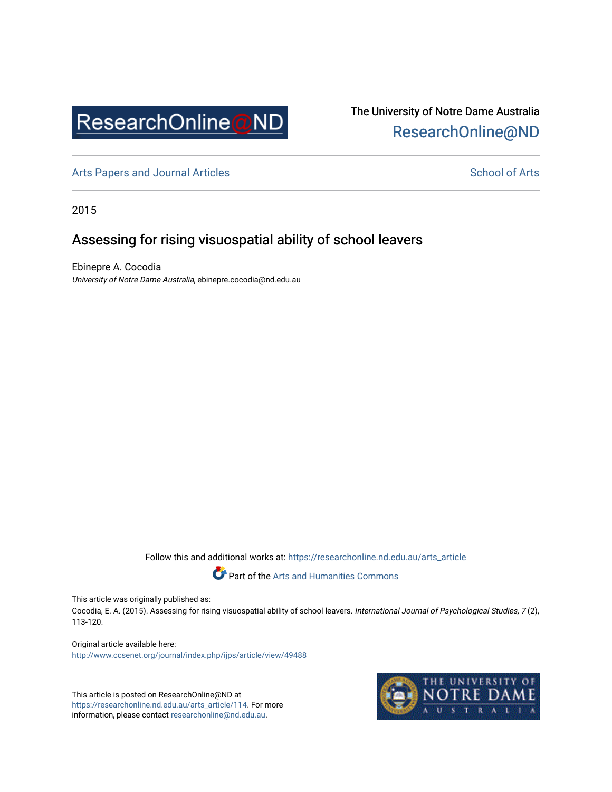

# The University of Notre Dame Australia [ResearchOnline@ND](https://researchonline.nd.edu.au/)

[Arts Papers and Journal Articles](https://researchonline.nd.edu.au/arts_article) and [School of Arts](https://researchonline.nd.edu.au/arts) School of Arts

2015

# Assessing for rising visuospatial ability of school leavers

Ebinepre A. Cocodia University of Notre Dame Australia, ebinepre.cocodia@nd.edu.au

Follow this and additional works at: [https://researchonline.nd.edu.au/arts\\_article](https://researchonline.nd.edu.au/arts_article?utm_source=researchonline.nd.edu.au%2Farts_article%2F114&utm_medium=PDF&utm_campaign=PDFCoverPages) 

Part of the [Arts and Humanities Commons](http://network.bepress.com/hgg/discipline/438?utm_source=researchonline.nd.edu.au%2Farts_article%2F114&utm_medium=PDF&utm_campaign=PDFCoverPages) 

This article was originally published as:

Cocodia, E. A. (2015). Assessing for rising visuospatial ability of school leavers. International Journal of Psychological Studies, 7 (2), 113-120.

Original article available here: <http://www.ccsenet.org/journal/index.php/ijps/article/view/49488>

This article is posted on ResearchOnline@ND at [https://researchonline.nd.edu.au/arts\\_article/114](https://researchonline.nd.edu.au/arts_article/114). For more information, please contact [researchonline@nd.edu.au.](mailto:researchonline@nd.edu.au)

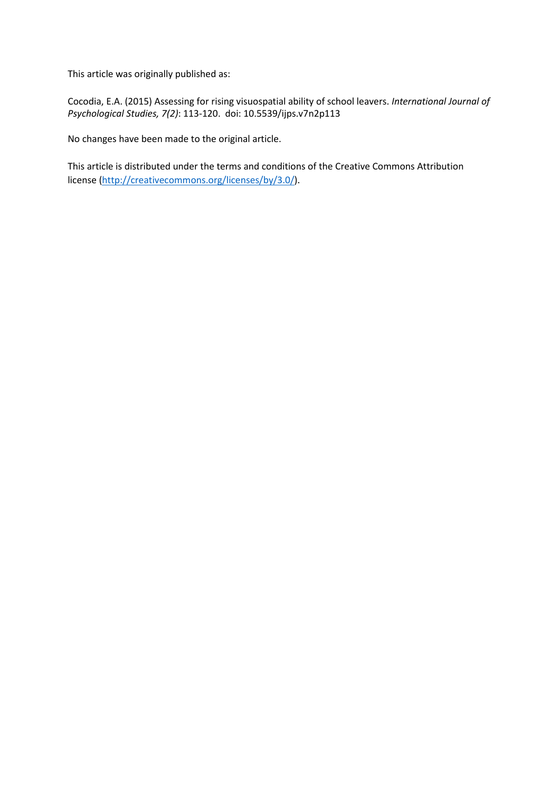This article was originally published as:

Cocodia, E.A. (2015) Assessing for rising visuospatial ability of school leavers. *International Journal of Psychological Studies, 7(2)*: 113-120. doi: 10.5539/ijps.v7n2p113

No changes have been made to the original article.

This article is distributed under the terms and conditions of the Creative Commons Attribution license [\(http://creativecommons.org/licenses/by/3.0/\)](http://creativecommons.org/licenses/by/3.0/).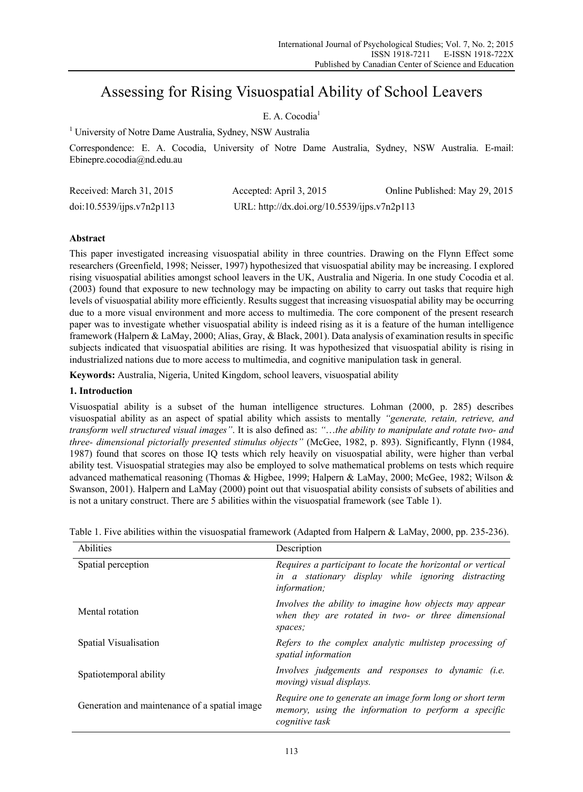# Assessing for Rising Visuospatial Ability of School Leavers

## E. A. Cocodia<sup>1</sup>

<sup>1</sup> University of Notre Dame Australia, Sydney, NSW Australia

Correspondence: E. A. Cocodia, University of Notre Dame Australia, Sydney, NSW Australia. E-mail: Ebinepre.cocodia@nd.edu.au

| Received: March 31, 2015  | Accepted: April 3, 2015                      | Online Published: May 29, 2015 |
|---------------------------|----------------------------------------------|--------------------------------|
| doi:10.5539/ijps.v7n2p113 | URL: http://dx.doi.org/10.5539/ijps.v7n2p113 |                                |

### **Abstract**

This paper investigated increasing visuospatial ability in three countries. Drawing on the Flynn Effect some researchers (Greenfield, 1998; Neisser, 1997) hypothesized that visuospatial ability may be increasing. I explored rising visuospatial abilities amongst school leavers in the UK, Australia and Nigeria. In one study Cocodia et al. (2003) found that exposure to new technology may be impacting on ability to carry out tasks that require high levels of visuospatial ability more efficiently. Results suggest that increasing visuospatial ability may be occurring due to a more visual environment and more access to multimedia. The core component of the present research paper was to investigate whether visuospatial ability is indeed rising as it is a feature of the human intelligence framework (Halpern & LaMay, 2000; Alias, Gray, & Black, 2001). Data analysis of examination results in specific subjects indicated that visuospatial abilities are rising. It was hypothesized that visuospatial ability is rising in industrialized nations due to more access to multimedia, and cognitive manipulation task in general.

**Keywords:** Australia, Nigeria, United Kingdom, school leavers, visuospatial ability

### **1. Introduction**

Visuospatial ability is a subset of the human intelligence structures. Lohman (2000, p. 285) describes visuospatial ability as an aspect of spatial ability which assists to mentally *"generate, retain, retrieve, and transform well structured visual images"*. It is also defined as: *"*…*the ability to manipulate and rotate two- and three- dimensional pictorially presented stimulus objects"* (McGee, 1982, p. 893). Significantly, Flynn (1984, 1987) found that scores on those IQ tests which rely heavily on visuospatial ability, were higher than verbal ability test. Visuospatial strategies may also be employed to solve mathematical problems on tests which require advanced mathematical reasoning (Thomas & Higbee, 1999; Halpern & LaMay, 2000; McGee, 1982; Wilson & Swanson, 2001). Halpern and LaMay (2000) point out that visuospatial ability consists of subsets of abilities and is not a unitary construct. There are 5 abilities within the visuospatial framework (see Table 1).

| <b>Abilities</b>                              | Description                                                                                                                               |
|-----------------------------------------------|-------------------------------------------------------------------------------------------------------------------------------------------|
| Spatial perception                            | Requires a participant to locate the horizontal or vertical<br>in a stationary display while ignoring distracting<br><i>information</i> : |
| Mental rotation                               | Involves the ability to imagine how objects may appear<br>when they are rotated in two- or three dimensional<br>spaces;                   |
| Spatial Visualisation                         | Refers to the complex analytic multistep processing of<br>spatial information                                                             |
| Spatiotemporal ability                        | Involves judgements and responses to dynamic (i.e.<br>moving) visual displays.                                                            |
| Generation and maintenance of a spatial image | Require one to generate an image form long or short term<br>memory, using the information to perform a specific<br>cognitive task         |

Table 1. Five abilities within the visuospatial framework (Adapted from Halpern & LaMay, 2000, pp. 235-236).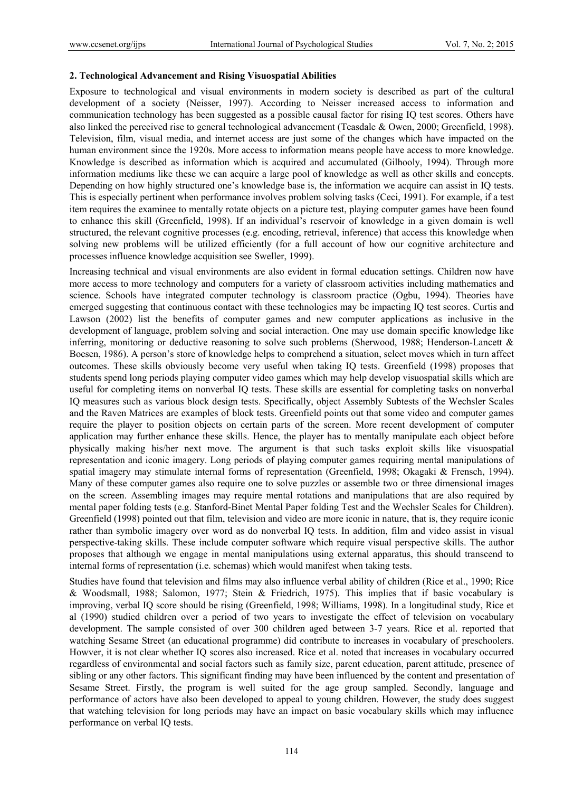#### **2. Technological Advancement and Rising Visuospatial Abilities**

Exposure to technological and visual environments in modern society is described as part of the cultural development of a society (Neisser, 1997). According to Neisser increased access to information and communication technology has been suggested as a possible causal factor for rising IQ test scores. Others have also linked the perceived rise to general technological advancement (Teasdale & Owen, 2000; Greenfield, 1998). Television, film, visual media, and internet access are just some of the changes which have impacted on the human environment since the 1920s. More access to information means people have access to more knowledge. Knowledge is described as information which is acquired and accumulated (Gilhooly, 1994). Through more information mediums like these we can acquire a large pool of knowledge as well as other skills and concepts. Depending on how highly structured one's knowledge base is, the information we acquire can assist in IQ tests. This is especially pertinent when performance involves problem solving tasks (Ceci, 1991). For example, if a test item requires the examinee to mentally rotate objects on a picture test, playing computer games have been found to enhance this skill (Greenfield, 1998). If an individual's reservoir of knowledge in a given domain is well structured, the relevant cognitive processes (e.g. encoding, retrieval, inference) that access this knowledge when solving new problems will be utilized efficiently (for a full account of how our cognitive architecture and processes influence knowledge acquisition see Sweller, 1999).

Increasing technical and visual environments are also evident in formal education settings. Children now have more access to more technology and computers for a variety of classroom activities including mathematics and science. Schools have integrated computer technology is classroom practice (Ogbu, 1994). Theories have emerged suggesting that continuous contact with these technologies may be impacting IQ test scores. Curtis and Lawson (2002) list the benefits of computer games and new computer applications as inclusive in the development of language, problem solving and social interaction. One may use domain specific knowledge like inferring, monitoring or deductive reasoning to solve such problems (Sherwood, 1988; Henderson-Lancett & Boesen, 1986). A person's store of knowledge helps to comprehend a situation, select moves which in turn affect outcomes. These skills obviously become very useful when taking IQ tests. Greenfield (1998) proposes that students spend long periods playing computer video games which may help develop visuospatial skills which are useful for completing items on nonverbal IQ tests. These skills are essential for completing tasks on nonverbal IQ measures such as various block design tests. Specifically, object Assembly Subtests of the Wechsler Scales and the Raven Matrices are examples of block tests. Greenfield points out that some video and computer games require the player to position objects on certain parts of the screen. More recent development of computer application may further enhance these skills. Hence, the player has to mentally manipulate each object before physically making his/her next move. The argument is that such tasks exploit skills like visuospatial representation and iconic imagery. Long periods of playing computer games requiring mental manipulations of spatial imagery may stimulate internal forms of representation (Greenfield, 1998; Okagaki & Frensch, 1994). Many of these computer games also require one to solve puzzles or assemble two or three dimensional images on the screen. Assembling images may require mental rotations and manipulations that are also required by mental paper folding tests (e.g. Stanford-Binet Mental Paper folding Test and the Wechsler Scales for Children). Greenfield (1998) pointed out that film, television and video are more iconic in nature, that is, they require iconic rather than symbolic imagery over word as do nonverbal IQ tests. In addition, film and video assist in visual perspective-taking skills. These include computer software which require visual perspective skills. The author proposes that although we engage in mental manipulations using external apparatus, this should transcend to internal forms of representation (i.e. schemas) which would manifest when taking tests.

Studies have found that television and films may also influence verbal ability of children (Rice et al., 1990; Rice & Woodsmall, 1988; Salomon, 1977; Stein & Friedrich, 1975). This implies that if basic vocabulary is improving, verbal IQ score should be rising (Greenfield, 1998; Williams, 1998). In a longitudinal study, Rice et al (1990) studied children over a period of two years to investigate the effect of television on vocabulary development. The sample consisted of over 300 children aged between 3-7 years. Rice et al. reported that watching Sesame Street (an educational programme) did contribute to increases in vocabulary of preschoolers. Howver, it is not clear whether IQ scores also increased. Rice et al. noted that increases in vocabulary occurred regardless of environmental and social factors such as family size, parent education, parent attitude, presence of sibling or any other factors. This significant finding may have been influenced by the content and presentation of Sesame Street. Firstly, the program is well suited for the age group sampled. Secondly, language and performance of actors have also been developed to appeal to young children. However, the study does suggest that watching television for long periods may have an impact on basic vocabulary skills which may influence performance on verbal IQ tests.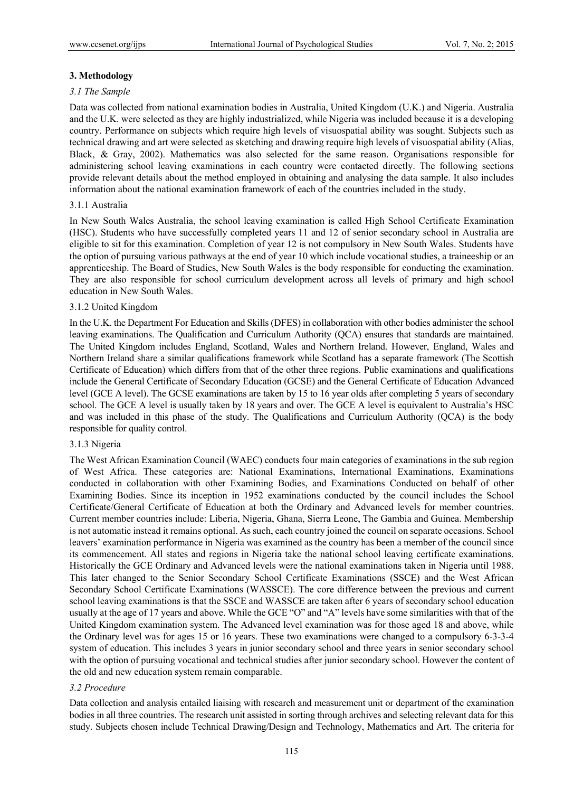#### **3. Methodology**

#### *3.1 The Sample*

Data was collected from national examination bodies in Australia, United Kingdom (U.K.) and Nigeria. Australia and the U.K. were selected as they are highly industrialized, while Nigeria was included because it is a developing country. Performance on subjects which require high levels of visuospatial ability was sought. Subjects such as technical drawing and art were selected as sketching and drawing require high levels of visuospatial ability (Alias, Black, & Gray, 2002). Mathematics was also selected for the same reason. Organisations responsible for administering school leaving examinations in each country were contacted directly. The following sections provide relevant details about the method employed in obtaining and analysing the data sample. It also includes information about the national examination framework of each of the countries included in the study.

#### 3.1.1 Australia

In New South Wales Australia, the school leaving examination is called High School Certificate Examination (HSC). Students who have successfully completed years 11 and 12 of senior secondary school in Australia are eligible to sit for this examination. Completion of year 12 is not compulsory in New South Wales. Students have the option of pursuing various pathways at the end of year 10 which include vocational studies, a traineeship or an apprenticeship. The Board of Studies, New South Wales is the body responsible for conducting the examination. They are also responsible for school curriculum development across all levels of primary and high school education in New South Wales.

#### 3.1.2 United Kingdom

In the U.K. the Department For Education and Skills (DFES) in collaboration with other bodies administer the school leaving examinations. The Qualification and Curriculum Authority (QCA) ensures that standards are maintained. The United Kingdom includes England, Scotland, Wales and Northern Ireland. However, England, Wales and Northern Ireland share a similar qualifications framework while Scotland has a separate framework (The Scottish Certificate of Education) which differs from that of the other three regions. Public examinations and qualifications include the General Certificate of Secondary Education (GCSE) and the General Certificate of Education Advanced level (GCE A level). The GCSE examinations are taken by 15 to 16 year olds after completing 5 years of secondary school. The GCE A level is usually taken by 18 years and over. The GCE A level is equivalent to Australia's HSC and was included in this phase of the study. The Qualifications and Curriculum Authority (QCA) is the body responsible for quality control.

#### 3.1.3 Nigeria

The West African Examination Council (WAEC) conducts four main categories of examinations in the sub region of West Africa. These categories are: National Examinations, International Examinations, Examinations conducted in collaboration with other Examining Bodies, and Examinations Conducted on behalf of other Examining Bodies. Since its inception in 1952 examinations conducted by the council includes the School Certificate/General Certificate of Education at both the Ordinary and Advanced levels for member countries. Current member countries include: Liberia, Nigeria, Ghana, Sierra Leone, The Gambia and Guinea. Membership is not automatic instead it remains optional. As such, each country joined the council on separate occasions. School leavers' examination performance in Nigeria was examined as the country has been a member of the council since its commencement. All states and regions in Nigeria take the national school leaving certificate examinations. Historically the GCE Ordinary and Advanced levels were the national examinations taken in Nigeria until 1988. This later changed to the Senior Secondary School Certificate Examinations (SSCE) and the West African Secondary School Certificate Examinations (WASSCE). The core difference between the previous and current school leaving examinations is that the SSCE and WASSCE are taken after 6 years of secondary school education usually at the age of 17 years and above. While the GCE "O" and "A" levels have some similarities with that of the United Kingdom examination system. The Advanced level examination was for those aged 18 and above, while the Ordinary level was for ages 15 or 16 years. These two examinations were changed to a compulsory 6-3-3-4 system of education. This includes 3 years in junior secondary school and three years in senior secondary school with the option of pursuing vocational and technical studies after junior secondary school. However the content of the old and new education system remain comparable.

#### *3.2 Procedure*

Data collection and analysis entailed liaising with research and measurement unit or department of the examination bodies in all three countries. The research unit assisted in sorting through archives and selecting relevant data for this study. Subjects chosen include Technical Drawing/Design and Technology, Mathematics and Art. The criteria for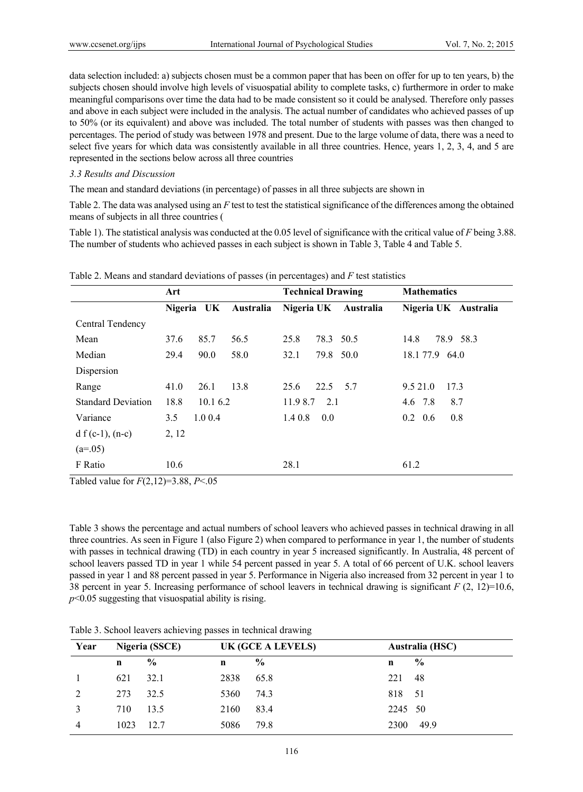data selection included: a) subjects chosen must be a common paper that has been on offer for up to ten years, b) the subjects chosen should involve high levels of visuospatial ability to complete tasks, c) furthermore in order to make meaningful comparisons over time the data had to be made consistent so it could be analysed. Therefore only passes and above in each subject were included in the analysis. The actual number of candidates who achieved passes of up to 50% (or its equivalent) and above was included. The total number of students with passes was then changed to percentages. The period of study was between 1978 and present. Due to the large volume of data, there was a need to select five years for which data was consistently available in all three countries. Hence, years 1, 2, 3, 4, and 5 are represented in the sections below across all three countries

#### *3.3 Results and Discussion*

The mean and standard deviations (in percentage) of passes in all three subjects are shown in

Table 2. The data was analysed using an *F* test to test the statistical significance of the differences among the obtained means of subjects in all three countries (

Table 1). The statistical analysis was conducted at the 0.05 level of significance with the critical value of *F* being 3.88. The number of students who achieved passes in each subject is shown in Table 3, Table 4 and Table 5.

|                           | Art   |                      | <b>Technical Drawing</b> | <b>Mathematics</b>     |  |
|---------------------------|-------|----------------------|--------------------------|------------------------|--|
|                           |       | Nigeria UK Australia | Nigeria UK Australia     | Nigeria UK Australia   |  |
| Central Tendency          |       |                      |                          |                        |  |
| Mean                      | 37.6  | 85.7<br>56.5         | 78.3 50.5<br>25.8        | 78.9 58.3<br>14.8      |  |
| Median                    | 29.4  | 58.0<br>90.0         | 79.8 50.0<br>32.1        | 18.1 77.9 64.0         |  |
| Dispersion                |       |                      |                          |                        |  |
| Range                     | 41.0  | 13.8<br>26.1         | 22.5<br>25.6<br>5.7      | 9.5 21.0<br>17.3       |  |
| <b>Standard Deviation</b> | 18.8  | 10.16.2              | 11.98.7<br>2.1           | 4.6 7.8<br>8.7         |  |
| Variance                  | 3.5   | 1.0 0.4              | 1.4 0.8<br>0.0           | $0.2 \quad 0.6$<br>0.8 |  |
| d $f(c-1)$ , $(n-c)$      | 2, 12 |                      |                          |                        |  |
| $(a=0.05)$                |       |                      |                          |                        |  |
| F Ratio                   | 10.6  |                      | 28.1                     | 61.2                   |  |

Table 2. Means and standard deviations of passes (in percentages) and *F* test statistics

Tabled value for *F*(2,12)=3.88, *P*<.05

Table 3 shows the percentage and actual numbers of school leavers who achieved passes in technical drawing in all three countries. As seen in Figure 1 (also Figure 2) when compared to performance in year 1, the number of students with passes in technical drawing (TD) in each country in year 5 increased significantly. In Australia, 48 percent of school leavers passed TD in year 1 while 54 percent passed in year 5. A total of 66 percent of U.K. school leavers passed in year 1 and 88 percent passed in year 5. Performance in Nigeria also increased from 32 percent in year 1 to 38 percent in year 5. Increasing performance of school leavers in technical drawing is significant  $F(2, 12)=10.6$ ,  $p$ <0.05 suggesting that visuospatial ability is rising.

| Year           |             | Nigeria (SSCE) |             | UK (GCE A LEVELS) |         | Australia (HSC) |
|----------------|-------------|----------------|-------------|-------------------|---------|-----------------|
|                | $\mathbf n$ | $\frac{6}{9}$  | $\mathbf n$ | $\frac{6}{9}$     | n       | $\frac{6}{9}$   |
|                | 621         | 32.1           | 2838        | 65.8              | 221     | 48              |
| 2              | 273         | 32.5           | 5360        | 74.3              | 818     | - 51            |
| 3              | 710         | 13.5           | 2160        | 83.4              | 2245 50 |                 |
| $\overline{4}$ | 1023        | 12.7           | 5086        | 79.8              | 2300    | 49.9            |

Table 3. School leavers achieving passes in technical drawing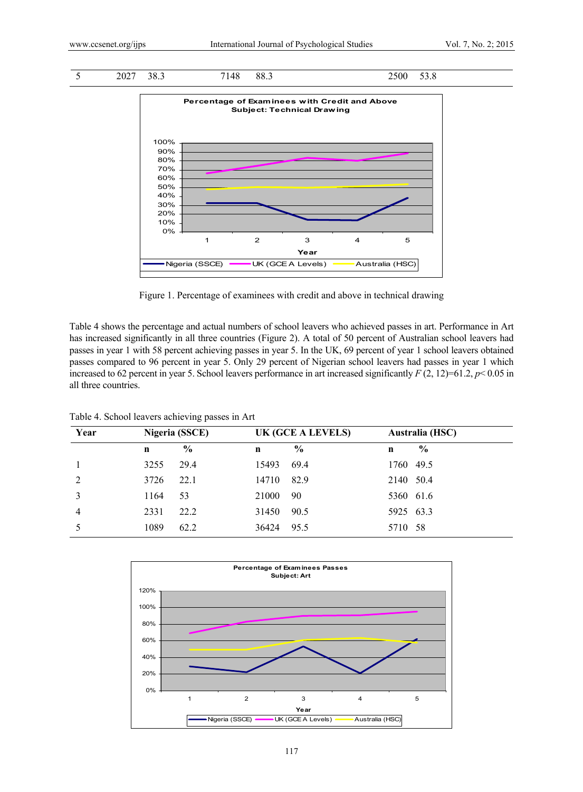





Figure 1. Percentage of examinees with credit and above in technical drawing

Table 4 shows the percentage and actual numbers of school leavers who achieved passes in art. Performance in Art has increased significantly in all three countries (Figure 2). A total of 50 percent of Australian school leavers had passes in year 1 with 58 percent achieving passes in year 5. In the UK, 69 percent of year 1 school leavers obtained passes compared to 96 percent in year 5. Only 29 percent of Nigerian school leavers had passes in year 1 which increased to 62 percent in year 5. School leavers performance in art increased significantly  $F(2, 12)=61.2, p<0.05$  in all three countries.

Table 4. School leavers achieving passes in Art

| Year | Nigeria (SSCE) |               | UK (GCE A LEVELS) |               |             | Australia (HSC) |  |
|------|----------------|---------------|-------------------|---------------|-------------|-----------------|--|
|      | n              | $\frac{6}{9}$ | n                 | $\frac{6}{9}$ | $\mathbf n$ | $\frac{6}{9}$   |  |
|      | 3255           | 29.4          | 15493             | 69.4          |             | 1760 49.5       |  |
|      | 3726           | 22.1          | 14710             | 82.9          | 2140 50.4   |                 |  |
|      | 1164           | 53            | 21000             | 90            | 5360 61.6   |                 |  |
| 4    | 2331           | 22.2          | 31450             | 90.5          | 5925 63.3   |                 |  |
|      | 1089           | 62.2          | 36424             | 95.5          | 5710 58     |                 |  |

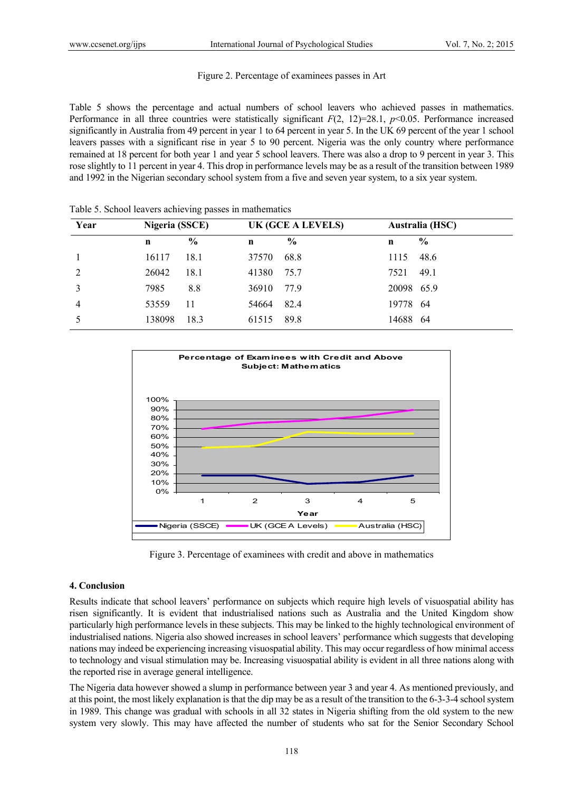#### Figure 2. Percentage of examinees passes in Art

Table 5 shows the percentage and actual numbers of school leavers who achieved passes in mathematics. Performance in all three countries were statistically significant *F*(2, 12)=28.1, *p*<0.05. Performance increased significantly in Australia from 49 percent in year 1 to 64 percent in year 5. In the UK 69 percent of the year 1 school leavers passes with a significant rise in year 5 to 90 percent. Nigeria was the only country where performance remained at 18 percent for both year 1 and year 5 school leavers. There was also a drop to 9 percent in year 3. This rose slightly to 11 percent in year 4. This drop in performance levels may be as a result of the transition between 1989 and 1992 in the Nigerian secondary school system from a five and seven year system, to a six year system.

| Year |             | Nigeria (SSCE) |             | UK (GCE A LEVELS) |             | Australia (HSC) |  |
|------|-------------|----------------|-------------|-------------------|-------------|-----------------|--|
|      | $\mathbf n$ | $\frac{6}{6}$  | $\mathbf n$ | $\frac{6}{9}$     | $\mathbf n$ | $\%$            |  |
|      | 16117       | 18.1           | 37570       | 68.8              | 1115        | 48.6            |  |
|      | 26042       | 18.1           | 41380       | 75.7              | 7521        | 49.1            |  |
|      | 7985        | 8.8            | 36910       | 77.9              | 20098 65.9  |                 |  |
| 4    | 53559       | 11             | 54664       | 82.4              | 19778 64    |                 |  |
|      | 138098      | 18.3           | 61515       | 89.8              | 14688 64    |                 |  |

Table 5. School leavers achieving passes in mathematics



Figure 3. Percentage of examinees with credit and above in mathematics

#### **4. Conclusion**

Results indicate that school leavers' performance on subjects which require high levels of visuospatial ability has risen significantly. It is evident that industrialised nations such as Australia and the United Kingdom show particularly high performance levels in these subjects. This may be linked to the highly technological environment of industrialised nations. Nigeria also showed increases in school leavers' performance which suggests that developing nations may indeed be experiencing increasing visuospatial ability. This may occur regardless of how minimal access to technology and visual stimulation may be. Increasing visuospatial ability is evident in all three nations along with the reported rise in average general intelligence.

The Nigeria data however showed a slump in performance between year 3 and year 4. As mentioned previously, and at this point, the most likely explanation is that the dip may be as a result of the transition to the 6-3-3-4 school system in 1989. This change was gradual with schools in all 32 states in Nigeria shifting from the old system to the new system very slowly. This may have affected the number of students who sat for the Senior Secondary School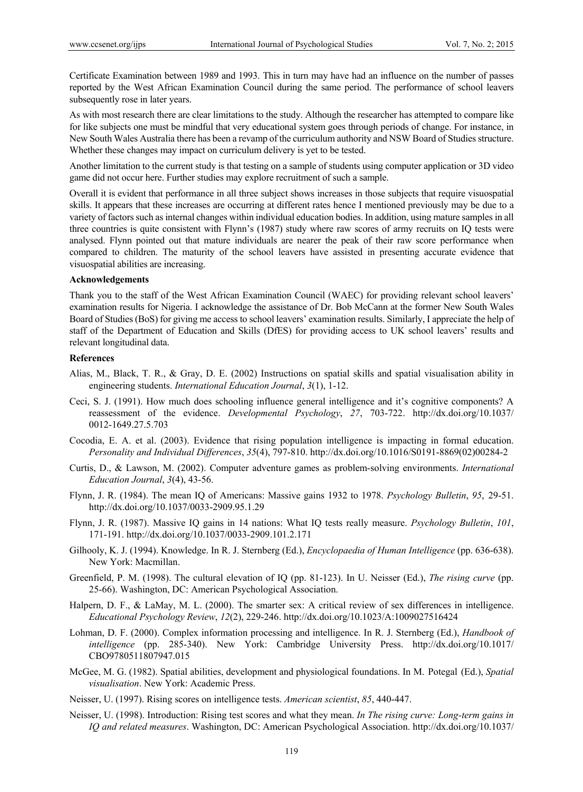Certificate Examination between 1989 and 1993. This in turn may have had an influence on the number of passes reported by the West African Examination Council during the same period. The performance of school leavers subsequently rose in later years.

As with most research there are clear limitations to the study. Although the researcher has attempted to compare like for like subjects one must be mindful that very educational system goes through periods of change. For instance, in New South Wales Australia there has been a revamp of the curriculum authority and NSW Board of Studies structure. Whether these changes may impact on curriculum delivery is yet to be tested.

Another limitation to the current study is that testing on a sample of students using computer application or 3D video game did not occur here. Further studies may explore recruitment of such a sample.

Overall it is evident that performance in all three subject shows increases in those subjects that require visuospatial skills. It appears that these increases are occurring at different rates hence I mentioned previously may be due to a variety of factors such as internal changes within individual education bodies. In addition, using mature samples in all three countries is quite consistent with Flynn's (1987) study where raw scores of army recruits on IQ tests were analysed. Flynn pointed out that mature individuals are nearer the peak of their raw score performance when compared to children. The maturity of the school leavers have assisted in presenting accurate evidence that visuospatial abilities are increasing.

#### **Acknowledgements**

Thank you to the staff of the West African Examination Council (WAEC) for providing relevant school leavers' examination results for Nigeria. I acknowledge the assistance of Dr. Bob McCann at the former New South Wales Board of Studies (BoS) for giving me access to school leavers' examination results. Similarly, I appreciate the help of staff of the Department of Education and Skills (DfES) for providing access to UK school leavers' results and relevant longitudinal data.

#### **References**

- Alias, M., Black, T. R., & Gray, D. E. (2002) Instructions on spatial skills and spatial visualisation ability in engineering students. *International Education Journal*, *3*(1), 1-12.
- Ceci, S. J. (1991). How much does schooling influence general intelligence and it's cognitive components? A reassessment of the evidence. *Developmental Psychology*, *27*, 703-722. http://dx.doi.org/10.1037/ 0012-1649.27.5.703
- Cocodia, E. A. et al. (2003). Evidence that rising population intelligence is impacting in formal education. *Personality and Individual Differences*, *35*(4), 797-810. http://dx.doi.org/10.1016/S0191-8869(02)00284-2
- Curtis, D., & Lawson, M. (2002). Computer adventure games as problem-solving environments. *International Education Journal*, *3*(4), 43-56.
- Flynn, J. R. (1984). The mean IQ of Americans: Massive gains 1932 to 1978. *Psychology Bulletin*, *95*, 29-51. http://dx.doi.org/10.1037/0033-2909.95.1.29
- Flynn, J. R. (1987). Massive IQ gains in 14 nations: What IQ tests really measure. *Psychology Bulletin*, *101*, 171-191. http://dx.doi.org/10.1037/0033-2909.101.2.171
- Gilhooly, K. J. (1994). Knowledge. In R. J. Sternberg (Ed.), *Encyclopaedia of Human Intelligence* (pp. 636-638). New York: Macmillan.
- Greenfield, P. M. (1998). The cultural elevation of IQ (pp. 81-123). In U. Neisser (Ed.), *The rising curve* (pp. 25-66). Washington, DC: American Psychological Association.
- Halpern, D. F., & LaMay, M. L. (2000). The smarter sex: A critical review of sex differences in intelligence. *Educational Psychology Review*, *12*(2), 229-246. http://dx.doi.org/10.1023/A:1009027516424
- Lohman, D. F. (2000). Complex information processing and intelligence. In R. J. Sternberg (Ed.), *Handbook of intelligence* (pp. 285-340). New York: Cambridge University Press. http://dx.doi.org/10.1017/ CBO9780511807947.015
- McGee, M. G. (1982). Spatial abilities, development and physiological foundations. In M. Potegal (Ed.), *Spatial visualisation*. New York: Academic Press.
- Neisser, U. (1997). Rising scores on intelligence tests. *American scientist*, *85*, 440-447.
- Neisser, U. (1998). Introduction: Rising test scores and what they mean. *In The rising curve: Long-term gains in IQ and related measures*. Washington, DC: American Psychological Association. http://dx.doi.org/10.1037/